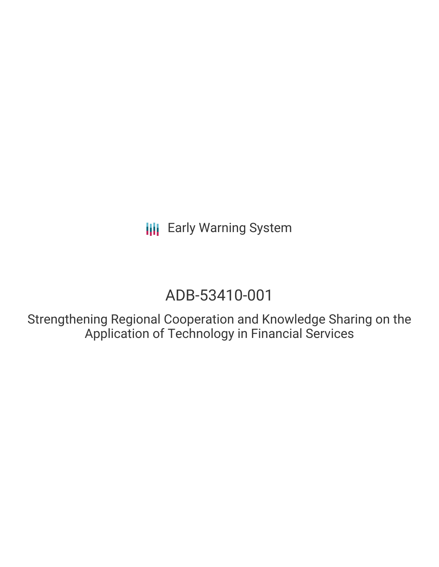**III** Early Warning System

# ADB-53410-001

Strengthening Regional Cooperation and Knowledge Sharing on the Application of Technology in Financial Services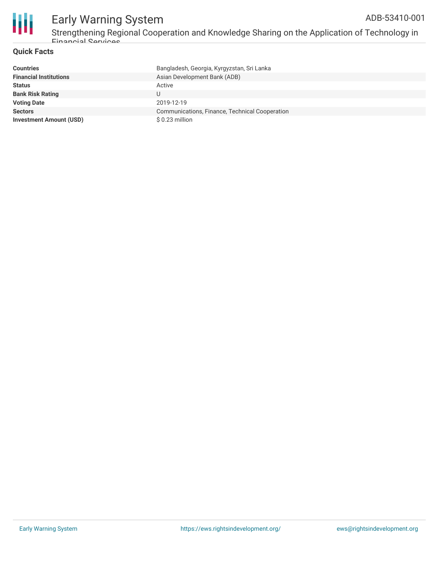

#### Early Warning System ADB-53410-001

Strengthening Regional Cooperation and Knowledge Sharing on the Application of Technology in Financial Services

#### **Quick Facts**

| <b>Countries</b>               | Bangladesh, Georgia, Kyrgyzstan, Sri Lanka     |
|--------------------------------|------------------------------------------------|
| <b>Financial Institutions</b>  | Asian Development Bank (ADB)                   |
| <b>Status</b>                  | Active                                         |
| <b>Bank Risk Rating</b>        | U                                              |
| <b>Voting Date</b>             | 2019-12-19                                     |
| <b>Sectors</b>                 | Communications, Finance, Technical Cooperation |
| <b>Investment Amount (USD)</b> | \$0.23 million                                 |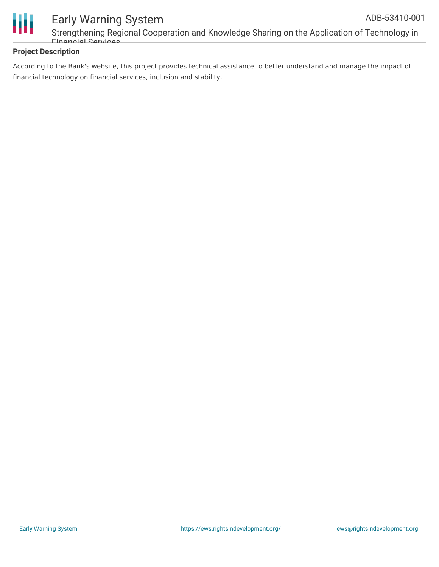



### Early Warning System Strengthening Regional Cooperation and Knowledge Sharing on the Application of Technology in

#### **Project Description**

Financial Services

According to the Bank's website, this project provides technical assistance to better understand and manage the impact of financial technology on financial services, inclusion and stability.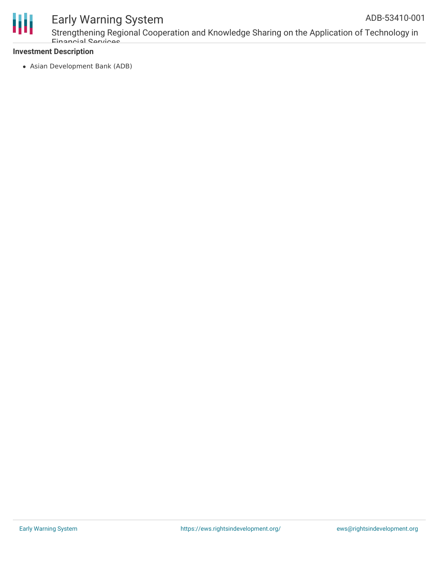

## Early Warning System

Strengthening Regional Cooperation and Knowledge Sharing on the Application of Technology in Financial Services

#### **Investment Description**

Asian Development Bank (ADB)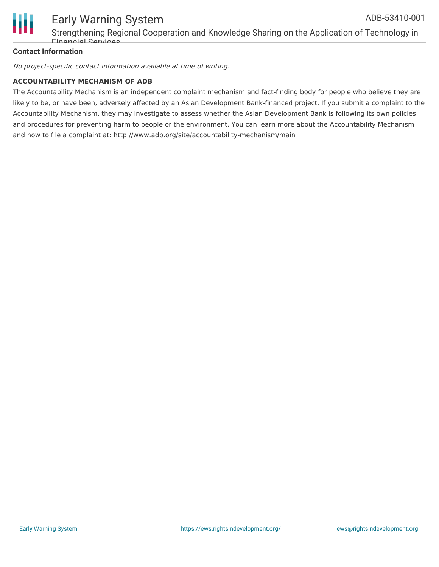

#### **Contact Information**

No project-specific contact information available at time of writing.

#### **ACCOUNTABILITY MECHANISM OF ADB**

Financial Services

The Accountability Mechanism is an independent complaint mechanism and fact-finding body for people who believe they are likely to be, or have been, adversely affected by an Asian Development Bank-financed project. If you submit a complaint to the Accountability Mechanism, they may investigate to assess whether the Asian Development Bank is following its own policies and procedures for preventing harm to people or the environment. You can learn more about the Accountability Mechanism and how to file a complaint at: http://www.adb.org/site/accountability-mechanism/main